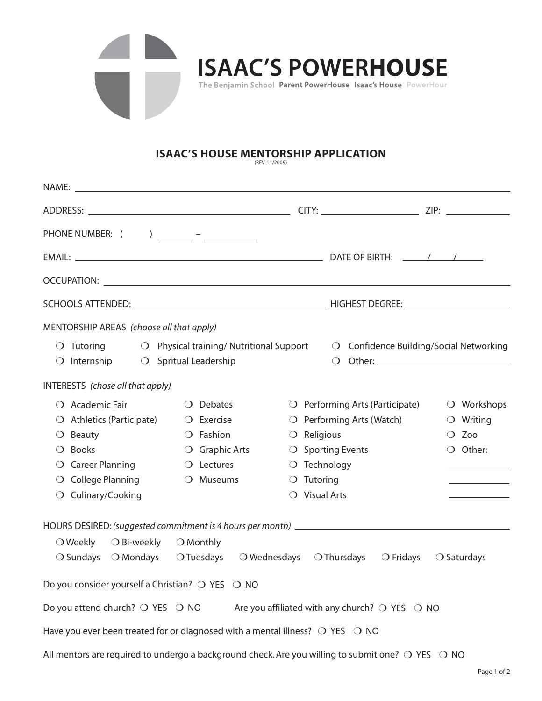

## **ISAAC'S HOUSE MENTORSHIP APPLICATION**

| PHONE NUMBER: $($ ) ________ - ___________                         |                        |                                                                                                 |                        |                                                                                                                                                                                                                                |                      |  |  |  |
|--------------------------------------------------------------------|------------------------|-------------------------------------------------------------------------------------------------|------------------------|--------------------------------------------------------------------------------------------------------------------------------------------------------------------------------------------------------------------------------|----------------------|--|--|--|
|                                                                    |                        |                                                                                                 |                        |                                                                                                                                                                                                                                |                      |  |  |  |
|                                                                    |                        |                                                                                                 |                        | OCCUPATION: Letters and the contract of the contract of the contract of the contract of the contract of the contract of the contract of the contract of the contract of the contract of the contract of the contract of the co |                      |  |  |  |
|                                                                    |                        |                                                                                                 |                        |                                                                                                                                                                                                                                |                      |  |  |  |
| MENTORSHIP AREAS (choose all that apply)                           |                        |                                                                                                 |                        |                                                                                                                                                                                                                                |                      |  |  |  |
|                                                                    |                        | $\bigcirc$ Tutoring $\bigcirc$ Physical training/Nutritional Support                            |                        | ○ Confidence Building/Social Networking                                                                                                                                                                                        |                      |  |  |  |
| $\bigcirc$ Internship $\bigcirc$ Spritual Leadership               |                        |                                                                                                 |                        | $\bigcirc$                                                                                                                                                                                                                     |                      |  |  |  |
| INTERESTS (chose all that apply)                                   |                        |                                                                                                 |                        |                                                                                                                                                                                                                                |                      |  |  |  |
| $\bigcirc$ Academic Fair                                           |                        | <b>Debates</b><br>$\Omega$                                                                      |                        | $\bigcirc$ Performing Arts (Participate)                                                                                                                                                                                       | $\bigcirc$ Workshops |  |  |  |
| Athletics (Participate)<br>$\cup$                                  |                        | $\bigcirc$ Exercise                                                                             |                        | $\bigcirc$ Performing Arts (Watch)                                                                                                                                                                                             | $\bigcirc$ Writing   |  |  |  |
| Beauty<br>$\Omega$                                                 |                        | $\bigcirc$ Fashion                                                                              | $\bigcirc$ Religious   |                                                                                                                                                                                                                                | $\bigcirc$ Zoo       |  |  |  |
| <b>Books</b><br>$\Omega$                                           |                        | $\bigcirc$ Graphic Arts                                                                         |                        | $\bigcirc$ Sporting Events                                                                                                                                                                                                     | $\bigcirc$ Other:    |  |  |  |
| $\Omega$                                                           | <b>Career Planning</b> |                                                                                                 | $\bigcirc$ Technology  |                                                                                                                                                                                                                                |                      |  |  |  |
| <b>College Planning</b><br>$\cup$                                  |                        | O Museums                                                                                       | $\bigcirc$ Tutoring    |                                                                                                                                                                                                                                |                      |  |  |  |
| Culinary/Cooking<br>$\bigcirc$                                     |                        |                                                                                                 | $\bigcirc$ Visual Arts |                                                                                                                                                                                                                                |                      |  |  |  |
|                                                                    |                        |                                                                                                 |                        |                                                                                                                                                                                                                                |                      |  |  |  |
| $\bigcirc$ Weekly                                                  | $\bigcirc$ Bi-weekly   | $\bigcirc$ Monthly                                                                              |                        |                                                                                                                                                                                                                                |                      |  |  |  |
| $\bigcirc$ Sundays $\bigcirc$ Mondays                              |                        | $\bigcirc$ Tuesdays<br>$\bigcirc$ Wednesdays                                                    |                        | $\bigcirc$ Thursdays<br>$\bigcirc$ Fridays                                                                                                                                                                                     | $\bigcirc$ Saturdays |  |  |  |
| Do you consider yourself a Christian? $\bigcirc$ YES $\bigcirc$ NO |                        |                                                                                                 |                        |                                                                                                                                                                                                                                |                      |  |  |  |
| Do you attend church? ○ YES ○ NO                                   |                        |                                                                                                 |                        | Are you affiliated with any church? $\bigcirc$ YES $\bigcirc$ NO                                                                                                                                                               |                      |  |  |  |
|                                                                    |                        | Have you ever been treated for or diagnosed with a mental illness? $\bigcirc$ YES $\bigcirc$ NO |                        |                                                                                                                                                                                                                                |                      |  |  |  |

All mentors are required to undergo a background check. Are you willing to submit one?  $\bigcirc$  YES  $\hspace{0.1 cm} \bigcirc \hspace{0.1 cm}$  NO